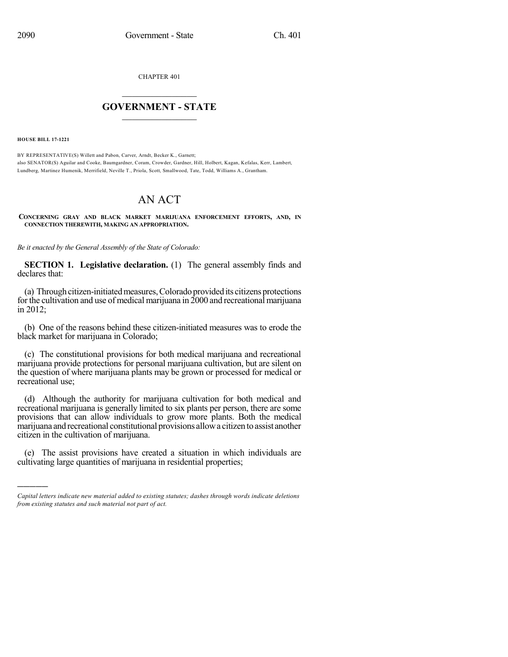CHAPTER 401

## $\overline{\phantom{a}}$  . The set of the set of the set of the set of the set of the set of the set of the set of the set of the set of the set of the set of the set of the set of the set of the set of the set of the set of the set o **GOVERNMENT - STATE**  $\_$

**HOUSE BILL 17-1221**

)))))

BY REPRESENTATIVE(S) Willett and Pabon, Carver, Arndt, Becker K., Garnett; also SENATOR(S) Aguilar and Cooke, Baumgardner, Coram, Crowder, Gardner, Hill, Holbert, Kagan, Kefalas, Kerr, Lambert, Lundberg, Martinez Humenik, Merrifield, Neville T., Priola, Scott, Smallwood, Tate, Todd, Williams A., Grantham.

## AN ACT

**CONCERNING GRAY AND BLACK MARKET MARIJUANA ENFORCEMENT EFFORTS, AND, IN CONNECTION THEREWITH, MAKING AN APPROPRIATION.**

*Be it enacted by the General Assembly of the State of Colorado:*

**SECTION 1. Legislative declaration.** (1) The general assembly finds and declares that:

(a) Through citizen-initiated measures, Colorado provided its citizens protections for the cultivation and use of medical marijuana in  $2000$  and recreational marijuana in 2012;

(b) One of the reasons behind these citizen-initiated measures was to erode the black market for marijuana in Colorado;

(c) The constitutional provisions for both medical marijuana and recreational marijuana provide protections for personal marijuana cultivation, but are silent on the question of where marijuana plants may be grown or processed for medical or recreational use;

(d) Although the authority for marijuana cultivation for both medical and recreational marijuana is generally limited to six plants per person, there are some provisions that can allow individuals to grow more plants. Both the medical marijuana and recreational constitutional provisions allowa citizen to assist another citizen in the cultivation of marijuana.

(e) The assist provisions have created a situation in which individuals are cultivating large quantities of marijuana in residential properties;

*Capital letters indicate new material added to existing statutes; dashes through words indicate deletions from existing statutes and such material not part of act.*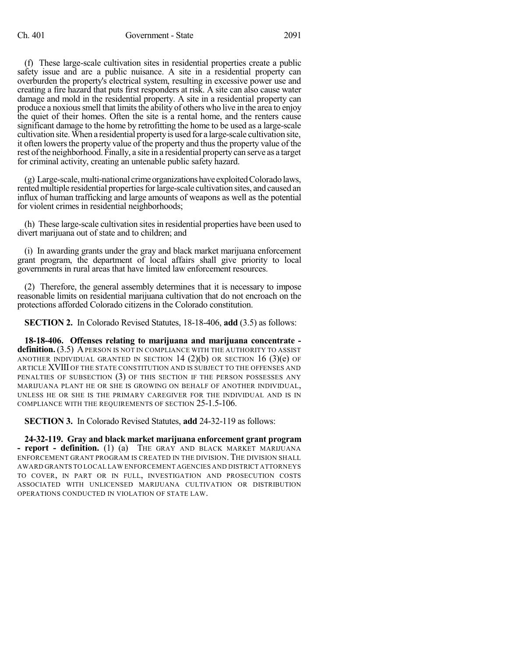(f) These large-scale cultivation sites in residential properties create a public safety issue and are a public nuisance. A site in a residential property can overburden the property's electrical system, resulting in excessive power use and creating a fire hazard that puts first responders at risk. A site can also cause water damage and mold in the residential property. A site in a residential property can produce a noxious smell that limits the ability of others who live in the area to enjoy the quiet of their homes. Often the site is a rental home, and the renters cause significant damage to the home by retrofitting the home to be used as a large-scale cultivation site.When a residential propertyis used for a large-scale cultivation site, it often lowers the property value of the property and thus the property value of the rest ofthe neighborhood. Finally, a site in a residential propertycan serve as a target for criminal activity, creating an untenable public safety hazard.

 $(g)$  Large-scale, multi-national crime organizations have exploited Colorado laws, rented multiple residential properties for large-scale cultivation sites, and caused an influx of human trafficking and large amounts of weapons as well as the potential for violent crimes in residential neighborhoods;

(h) These large-scale cultivation sites in residential properties have been used to divert marijuana out of state and to children; and

(i) In awarding grants under the gray and black market marijuana enforcement grant program, the department of local affairs shall give priority to local governments in rural areas that have limited law enforcement resources.

(2) Therefore, the general assembly determines that it is necessary to impose reasonable limits on residential marijuana cultivation that do not encroach on the protections afforded Colorado citizens in the Colorado constitution.

**SECTION 2.** In Colorado Revised Statutes, 18-18-406, **add** (3.5) as follows:

**18-18-406. Offenses relating to marijuana and marijuana concentrate definition.** (3.5) A PERSON IS NOT IN COMPLIANCE WITH THE AUTHORITY TO ASSIST ANOTHER INDIVIDUAL GRANTED IN SECTION 14  $(2)(b)$  OR SECTION 16  $(3)(e)$  OF ARTICLE XVIII OF THE STATE CONSTITUTION AND IS SUBJECT TO THE OFFENSES AND PENALTIES OF SUBSECTION (3) OF THIS SECTION IF THE PERSON POSSESSES ANY MARIJUANA PLANT HE OR SHE IS GROWING ON BEHALF OF ANOTHER INDIVIDUAL, UNLESS HE OR SHE IS THE PRIMARY CAREGIVER FOR THE INDIVIDUAL AND IS IN COMPLIANCE WITH THE REQUIREMENTS OF SECTION 25-1.5-106.

**SECTION 3.** In Colorado Revised Statutes, **add** 24-32-119 as follows:

**24-32-119. Gray and black market marijuana enforcement grant program - report - definition.** (1) (a) THE GRAY AND BLACK MARKET MARIJUANA ENFORCEMENT GRANT PROGRAM IS CREATED IN THE DIVISION.THE DIVISION SHALL AWARD GRANTS TO LOCAL LAW ENFORCEMENT AGENCIES AND DISTRICT ATTORNEYS TO COVER, IN PART OR IN FULL, INVESTIGATION AND PROSECUTION COSTS ASSOCIATED WITH UNLICENSED MARIJUANA CULTIVATION OR DISTRIBUTION OPERATIONS CONDUCTED IN VIOLATION OF STATE LAW.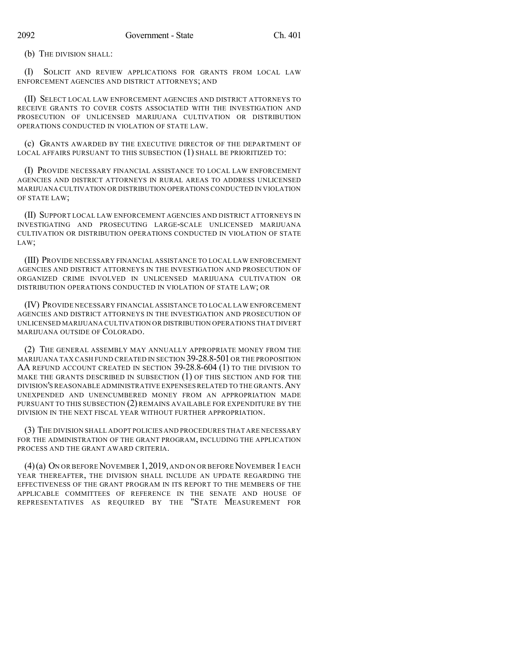(b) THE DIVISION SHALL:

(I) SOLICIT AND REVIEW APPLICATIONS FOR GRANTS FROM LOCAL LAW ENFORCEMENT AGENCIES AND DISTRICT ATTORNEYS; AND

(II) SELECT LOCAL LAW ENFORCEMENT AGENCIES AND DISTRICT ATTORNEYS TO RECEIVE GRANTS TO COVER COSTS ASSOCIATED WITH THE INVESTIGATION AND PROSECUTION OF UNLICENSED MARIJUANA CULTIVATION OR DISTRIBUTION OPERATIONS CONDUCTED IN VIOLATION OF STATE LAW.

(c) GRANTS AWARDED BY THE EXECUTIVE DIRECTOR OF THE DEPARTMENT OF LOCAL AFFAIRS PURSUANT TO THIS SUBSECTION (1) SHALL BE PRIORITIZED TO:

(I) PROVIDE NECESSARY FINANCIAL ASSISTANCE TO LOCAL LAW ENFORCEMENT AGENCIES AND DISTRICT ATTORNEYS IN RURAL AREAS TO ADDRESS UNLICENSED MARIJUANA CULTIVATION OR DISTRIBUTION OPERATIONS CONDUCTED IN VIOLATION OF STATE LAW;

(II) SUPPORT LOCAL LAW ENFORCEMENT AGENCIES AND DISTRICT ATTORNEYS IN INVESTIGATING AND PROSECUTING LARGE-SCALE UNLICENSED MARIJUANA CULTIVATION OR DISTRIBUTION OPERATIONS CONDUCTED IN VIOLATION OF STATE LAW;

(III) PROVIDE NECESSARY FINANCIAL ASSISTANCE TO LOCAL LAW ENFORCEMENT AGENCIES AND DISTRICT ATTORNEYS IN THE INVESTIGATION AND PROSECUTION OF ORGANIZED CRIME INVOLVED IN UNLICENSED MARIJUANA CULTIVATION OR DISTRIBUTION OPERATIONS CONDUCTED IN VIOLATION OF STATE LAW; OR

(IV) PROVIDE NECESSARY FINANCIAL ASSISTANCE TO LOCAL LAW ENFORCEMENT AGENCIES AND DISTRICT ATTORNEYS IN THE INVESTIGATION AND PROSECUTION OF UNLICENSED MARIJUANA CULTIVATION OR DISTRIBUTION OPERATIONS THAT DIVERT MARIJUANA OUTSIDE OF COLORADO.

(2) THE GENERAL ASSEMBLY MAY ANNUALLY APPROPRIATE MONEY FROM THE MARIJUANA TAX CASH FUND CREATED IN SECTION 39-28.8-501 OR THE PROPOSITION AA REFUND ACCOUNT CREATED IN SECTION 39-28.8-604 (1) TO THE DIVISION TO MAKE THE GRANTS DESCRIBED IN SUBSECTION (1) OF THIS SECTION AND FOR THE DIVISION'S REASONABLE ADMINISTRATIVE EXPENSESRELATED TO THE GRANTS.ANY UNEXPENDED AND UNENCUMBERED MONEY FROM AN APPROPRIATION MADE PURSUANT TO THIS SUBSECTION (2) REMAINS AVAILABLE FOR EXPENDITURE BY THE DIVISION IN THE NEXT FISCAL YEAR WITHOUT FURTHER APPROPRIATION.

(3) THE DIVISION SHALL ADOPT POLICIES AND PROCEDURES THAT ARE NECESSARY FOR THE ADMINISTRATION OF THE GRANT PROGRAM, INCLUDING THE APPLICATION PROCESS AND THE GRANT AWARD CRITERIA.

 $(4)$ (a) On or before November 1, 2019, and on or before November 1 each YEAR THEREAFTER, THE DIVISION SHALL INCLUDE AN UPDATE REGARDING THE EFFECTIVENESS OF THE GRANT PROGRAM IN ITS REPORT TO THE MEMBERS OF THE APPLICABLE COMMITTEES OF REFERENCE IN THE SENATE AND HOUSE OF REPRESENTATIVES AS REQUIRED BY THE "STATE MEASUREMENT FOR